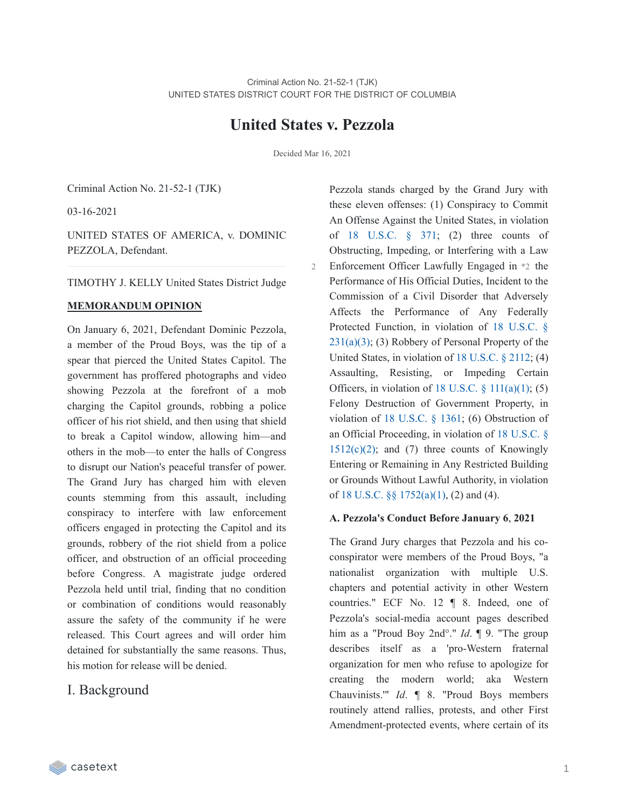# **United States v. Pezzola**

Decided Mar 16, 2021

2

Criminal Action No. 21-52-1 (TJK)

03-16-2021

UNITED STATES OF AMERICA, v. DOMINIC PEZZOLA, Defendant.

TIMOTHY J. KELLY United States District Judge

### **MEMORANDUM OPINION**

On January 6, 2021, Defendant Dominic Pezzola, a member of the Proud Boys, was the tip of a spear that pierced the United States Capitol. The government has proffered photographs and video showing Pezzola at the forefront of a mob charging the Capitol grounds, robbing a police officer of his riot shield, and then using that shield to break a Capitol window, allowing him—and others in the mob—to enter the halls of Congress to disrupt our Nation's peaceful transfer of power. The Grand Jury has charged him with eleven counts stemming from this assault, including conspiracy to interfere with law enforcement officers engaged in protecting the Capitol and its grounds, robbery of the riot shield from a police officer, and obstruction of an official proceeding before Congress. A magistrate judge ordered Pezzola held until trial, finding that no condition or combination of conditions would reasonably assure the safety of the community if he were released. This Court agrees and will order him detained for substantially the same reasons. Thus, his motion for release will be denied.

## I. Background

Pezzola stands charged by the Grand Jury with these eleven offenses: (1) Conspiracy to Commit An Offense Against the United States, in violation of  $18$  [U.S.C.](https://casetext.com/statute/united-states-code/title-18-crimes-and-criminal-procedure/part-i-crimes/chapter-19-conspiracy/section-371-conspiracy-to-commit-offense-or-to-defraud-united-states)  $\frac{8}{9}$   $371$ ; (2) three counts of Obstructing, Impeding, or Interfering with a Law Enforcement Officer Lawfully Engaged in \*2 the Performance of His Official Duties, Incident to the Commission of a Civil Disorder that Adversely Affects the Performance of Any Federally Protected Function, in violation of 18 U.S.C. §  $231(a)(3)$ ; (3) Robbery of Personal Property of the United States, in violation of 18 [U.S.C.](https://casetext.com/statute/united-states-code/title-18-crimes-and-criminal-procedure/part-i-crimes/chapter-103-robbery-and-burglary/section-2112-personal-property-of-united-states) § 2112; (4) Assaulting, Resisting, or Impeding Certain Officers, in violation of 18 U.S.C.  $\S$  [111\(a\)\(1\);](https://casetext.com/statute/united-states-code/title-18-crimes-and-criminal-procedure/part-i-crimes/chapter-7-assault/section-111-assaulting-resisting-or-impeding-certain-officers-or-employees) (5) Felony Destruction of Government Property, in violation of 18 [U.S.C.](https://casetext.com/statute/united-states-code/title-18-crimes-and-criminal-procedure/part-i-crimes/chapter-65-malicious-mischief/section-1361-government-property-or-contracts) § 1361; (6) Obstruction of an Official [Proceeding,](https://casetext.com/statute/united-states-code/title-18-crimes-and-criminal-procedure/part-i-crimes/chapter-73-obstruction-of-justice/section-1512-tampering-with-a-witness-victim-or-an-informant) in violation of 18 U.S.C. §  $1512(c)(2)$ ; and (7) three counts of Knowingly Entering or Remaining in Any Restricted Building or Grounds Without Lawful Authority, in violation of 18 U.S.C. §§ [1752\(a\)\(1\),](https://casetext.com/statute/united-states-code/title-18-crimes-and-criminal-procedure/part-i-crimes/chapter-84-presidential-and-presidential-staff-assassination-kidnapping-and-assault/section-1752-restricted-building-or-grounds) (2) and (4).

### **A. Pezzola's Conduct Before January 6**, **2021**

The Grand Jury charges that Pezzola and his coconspirator were members of the Proud Boys, "a nationalist organization with multiple U.S. chapters and potential activity in other Western countries." ECF No. 12 ¶ 8. Indeed, one of Pezzola's social-media account pages described him as a "Proud Boy 2nd°." *Id*. ¶ 9. "The group describes itself as a 'pro-Western fraternal organization for men who refuse to apologize for creating the modern world; aka Western Chauvinists.'" *Id*. ¶ 8. "Proud Boys members routinely attend rallies, protests, and other First Amendment-protected events, where certain of its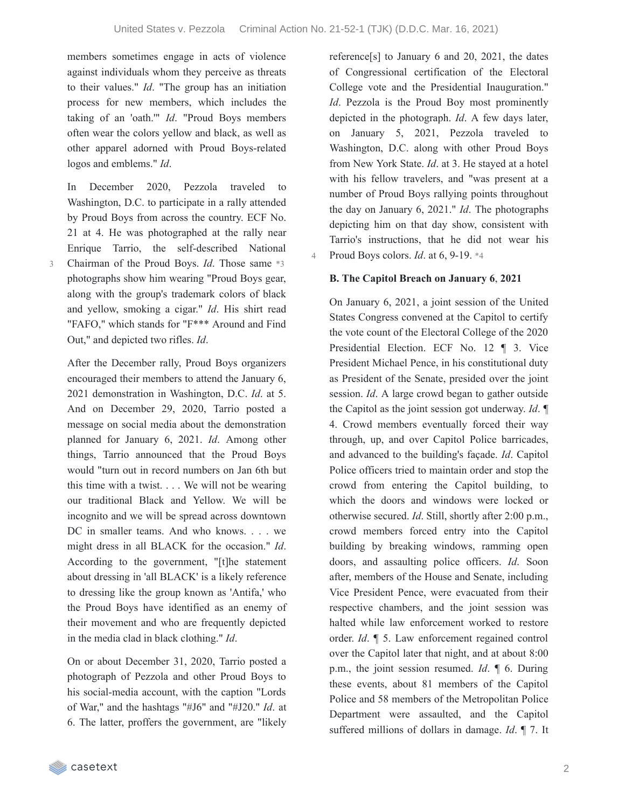members sometimes engage in acts of violence against individuals whom they perceive as threats to their values." *Id*. "The group has an initiation process for new members, which includes the taking of an 'oath.'" *Id*. "Proud Boys members often wear the colors yellow and black, as well as other apparel adorned with Proud Boys-related logos and emblems." *Id*.

In December 2020, Pezzola traveled to Washington, D.C. to participate in a rally attended by Proud Boys from across the country. ECF No. 21 at 4. He was photographed at the rally near Enrique Tarrio, the self-described National Chairman of the Proud Boys. *Id*. Those same \*3 photographs show him wearing "Proud Boys gear, along with the group's trademark colors of black and yellow, smoking a cigar." *Id*. His shirt read "FAFO," which stands for "F\*\*\* Around and Find Out," and depicted two rifles. *Id*.

3

After the December rally, Proud Boys organizers encouraged their members to attend the January 6, 2021 demonstration in Washington, D.C. *Id*. at 5. And on December 29, 2020, Tarrio posted a message on social media about the demonstration planned for January 6, 2021. *Id*. Among other things, Tarrio announced that the Proud Boys would "turn out in record numbers on Jan 6th but this time with a twist. . . . We will not be wearing our traditional Black and Yellow. We will be incognito and we will be spread across downtown DC in smaller teams. And who knows. . . . we might dress in all BLACK for the occasion." *Id*. According to the government, "[t]he statement about dressing in 'all BLACK' is a likely reference to dressing like the group known as 'Antifa,' who the Proud Boys have identified as an enemy of their movement and who are frequently depicted in the media clad in black clothing." *Id*.

On or about December 31, 2020, Tarrio posted a photograph of Pezzola and other Proud Boys to his social-media account, with the caption "Lords of War," and the hashtags "#J6" and "#J20." *Id*. at 6. The latter, proffers the government, are "likely

reference[s] to January 6 and 20, 2021, the dates of Congressional certification of the Electoral College vote and the Presidential Inauguration." *Id*. Pezzola is the Proud Boy most prominently depicted in the photograph. *Id*. A few days later, on January 5, 2021, Pezzola traveled to Washington, D.C. along with other Proud Boys from New York State. *Id*. at 3. He stayed at a hotel with his fellow travelers, and "was present at a number of Proud Boys rallying points throughout the day on January 6, 2021." *Id*. The photographs depicting him on that day show, consistent with Tarrio's instructions, that he did not wear his 4 Proud Boys colors. *Id*. at 6, 9-19. \*4

### **B. The Capitol Breach on January 6**, **2021**

On January 6, 2021, a joint session of the United States Congress convened at the Capitol to certify the vote count of the Electoral College of the 2020 Presidential Election. ECF No. 12 ¶ 3. Vice President Michael Pence, in his constitutional duty as President of the Senate, presided over the joint session. *Id*. A large crowd began to gather outside the Capitol as the joint session got underway. *Id*. ¶ 4. Crowd members eventually forced their way through, up, and over Capitol Police barricades, and advanced to the building's façade. *Id*. Capitol Police officers tried to maintain order and stop the crowd from entering the Capitol building, to which the doors and windows were locked or otherwise secured. *Id*. Still, shortly after 2:00 p.m., crowd members forced entry into the Capitol building by breaking windows, ramming open doors, and assaulting police officers. *Id*. Soon after, members of the House and Senate, including Vice President Pence, were evacuated from their respective chambers, and the joint session was halted while law enforcement worked to restore order. *Id*. ¶ 5. Law enforcement regained control over the Capitol later that night, and at about 8:00 p.m., the joint session resumed. *Id*. ¶ 6. During these events, about 81 members of the Capitol Police and 58 members of the Metropolitan Police Department were assaulted, and the Capitol suffered millions of dollars in damage. *Id*. ¶ 7. It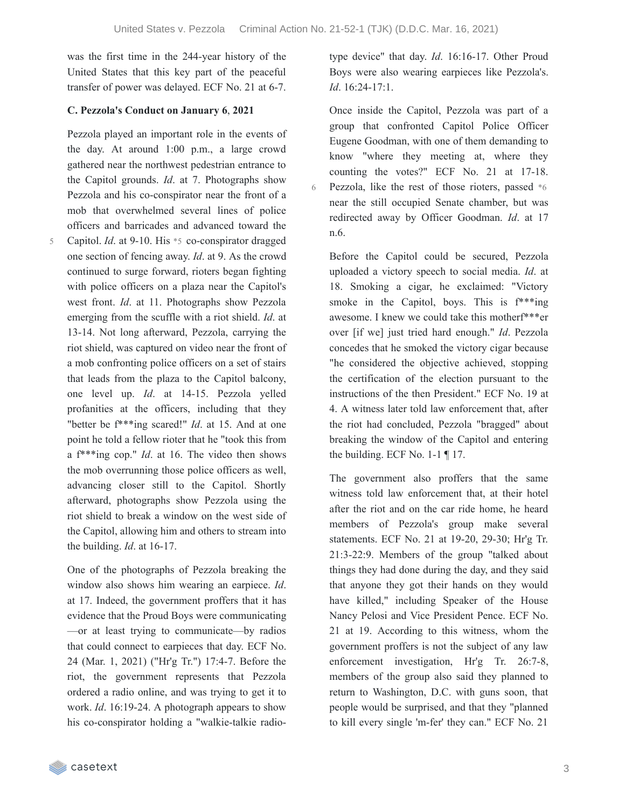was the first time in the 244-year history of the United States that this key part of the peaceful transfer of power was delayed. ECF No. 21 at 6-7.

### **C. Pezzola's Conduct on January 6**, **2021**

Pezzola played an important role in the events of the day. At around 1:00 p.m., a large crowd gathered near the northwest pedestrian entrance to the Capitol grounds. *Id*. at 7. Photographs show Pezzola and his co-conspirator near the front of a mob that overwhelmed several lines of police officers and barricades and advanced toward the

Capitol. *Id*. at 9-10. His \*5 co-conspirator dragged one section of fencing away. *Id*. at 9. As the crowd continued to surge forward, rioters began fighting with police officers on a plaza near the Capitol's west front. *Id*. at 11. Photographs show Pezzola emerging from the scuffle with a riot shield. *Id*. at 13-14. Not long afterward, Pezzola, carrying the riot shield, was captured on video near the front of a mob confronting police officers on a set of stairs that leads from the plaza to the Capitol balcony, one level up. *Id*. at 14-15. Pezzola yelled profanities at the officers, including that they "better be f\*\*\*ing scared!" *Id*. at 15. And at one point he told a fellow rioter that he "took this from a f\*\*\*ing cop." *Id*. at 16. The video then shows the mob overrunning those police officers as well, advancing closer still to the Capitol. Shortly afterward, photographs show Pezzola using the riot shield to break a window on the west side of the Capitol, allowing him and others to stream into the building. *Id*. at 16-17. 5

One of the photographs of Pezzola breaking the window also shows him wearing an earpiece. *Id*. at 17. Indeed, the government proffers that it has evidence that the Proud Boys were communicating —or at least trying to communicate—by radios that could connect to earpieces that day. ECF No. 24 (Mar. 1, 2021) ("Hr'g Tr.") 17:4-7. Before the riot, the government represents that Pezzola ordered a radio online, and was trying to get it to work. *Id*. 16:19-24. A photograph appears to show his co-conspirator holding a "walkie-talkie radiotype device" that day. *Id*. 16:16-17. Other Proud Boys were also wearing earpieces like Pezzola's. *Id*. 16:24-17:1.

Once inside the Capitol, Pezzola was part of a group that confronted Capitol Police Officer Eugene Goodman, with one of them demanding to know "where they meeting at, where they counting the votes?" ECF No. 21 at 17-18. Pezzola, like the rest of those rioters, passed \*6 near the still occupied Senate chamber, but was redirected away by Officer Goodman. *Id*. at 17 n.6.

Before the Capitol could be secured, Pezzola uploaded a victory speech to social media. *Id*. at 18. Smoking a cigar, he exclaimed: "Victory smoke in the Capitol, boys. This is  $f^{***}$ ing awesome. I knew we could take this motherf\*\*\*er over [if we] just tried hard enough." *Id*. Pezzola concedes that he smoked the victory cigar because "he considered the objective achieved, stopping the certification of the election pursuant to the instructions of the then President." ECF No. 19 at 4. A witness later told law enforcement that, after the riot had concluded, Pezzola "bragged" about breaking the window of the Capitol and entering the building. ECF No. 1-1 ¶ 17.

The government also proffers that the same witness told law enforcement that, at their hotel after the riot and on the car ride home, he heard members of Pezzola's group make several statements. ECF No. 21 at 19-20, 29-30; Hr'g Tr. 21:3-22:9. Members of the group "talked about things they had done during the day, and they said that anyone they got their hands on they would have killed," including Speaker of the House Nancy Pelosi and Vice President Pence. ECF No. 21 at 19. According to this witness, whom the government proffers is not the subject of any law enforcement investigation, Hr'g Tr. 26:7-8, members of the group also said they planned to return to Washington, D.C. with guns soon, that people would be surprised, and that they "planned to kill every single 'm-fer' they can." ECF No. 21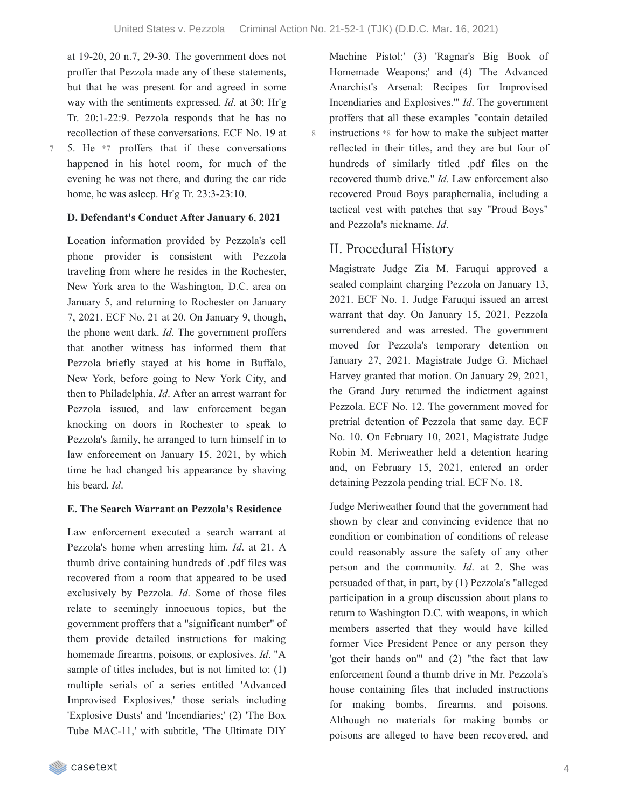at 19-20, 20 n.7, 29-30. The government does not proffer that Pezzola made any of these statements, but that he was present for and agreed in some way with the sentiments expressed. *Id*. at 30; Hr'g Tr. 20:1-22:9. Pezzola responds that he has no recollection of these conversations. ECF No. 19 at 5. He \*7 proffers that if these conversations happened in his hotel room, for much of the evening he was not there, and during the car ride

7

### **D. Defendant's Conduct After January 6**, **2021**

home, he was asleep. Hr'g Tr. 23:3-23:10.

Location information provided by Pezzola's cell phone provider is consistent with Pezzola traveling from where he resides in the Rochester, New York area to the Washington, D.C. area on January 5, and returning to Rochester on January 7, 2021. ECF No. 21 at 20. On January 9, though, the phone went dark. *Id*. The government proffers that another witness has informed them that Pezzola briefly stayed at his home in Buffalo, New York, before going to New York City, and then to Philadelphia. *Id*. After an arrest warrant for Pezzola issued, and law enforcement began knocking on doors in Rochester to speak to Pezzola's family, he arranged to turn himself in to law enforcement on January 15, 2021, by which time he had changed his appearance by shaving his beard. *Id*.

### **E. The Search Warrant on Pezzola's Residence**

Law enforcement executed a search warrant at Pezzola's home when arresting him. *Id*. at 21. A thumb drive containing hundreds of .pdf files was recovered from a room that appeared to be used exclusively by Pezzola. *Id*. Some of those files relate to seemingly innocuous topics, but the government proffers that a "significant number" of them provide detailed instructions for making homemade firearms, poisons, or explosives. *Id*. "A sample of titles includes, but is not limited to: (1) multiple serials of a series entitled 'Advanced Improvised Explosives,' those serials including 'Explosive Dusts' and 'Incendiaries;' (2) 'The Box Tube MAC-11,' with subtitle, 'The Ultimate DIY

Machine Pistol;' (3) 'Ragnar's Big Book of Homemade Weapons;' and (4) 'The Advanced Anarchist's Arsenal: Recipes for Improvised Incendiaries and Explosives.'" *Id*. The government proffers that all these examples "contain detailed instructions \*8 for how to make the subject matter reflected in their titles, and they are but four of hundreds of similarly titled .pdf files on the recovered thumb drive." *Id*. Law enforcement also recovered Proud Boys paraphernalia, including a tactical vest with patches that say "Proud Boys" and Pezzola's nickname. *Id*.

## II. Procedural History

Magistrate Judge Zia M. Faruqui approved a sealed complaint charging Pezzola on January 13, 2021. ECF No. 1. Judge Faruqui issued an arrest warrant that day. On January 15, 2021, Pezzola surrendered and was arrested. The government moved for Pezzola's temporary detention on January 27, 2021. Magistrate Judge G. Michael Harvey granted that motion. On January 29, 2021, the Grand Jury returned the indictment against Pezzola. ECF No. 12. The government moved for pretrial detention of Pezzola that same day. ECF No. 10. On February 10, 2021, Magistrate Judge Robin M. Meriweather held a detention hearing and, on February 15, 2021, entered an order detaining Pezzola pending trial. ECF No. 18.

Judge Meriweather found that the government had shown by clear and convincing evidence that no condition or combination of conditions of release could reasonably assure the safety of any other person and the community. *Id*. at 2. She was persuaded of that, in part, by (1) Pezzola's "alleged participation in a group discussion about plans to return to Washington D.C. with weapons, in which members asserted that they would have killed former Vice President Pence or any person they 'got their hands on'" and (2) "the fact that law enforcement found a thumb drive in Mr. Pezzola's house containing files that included instructions for making bombs, firearms, and poisons. Although no materials for making bombs or poisons are alleged to have been recovered, and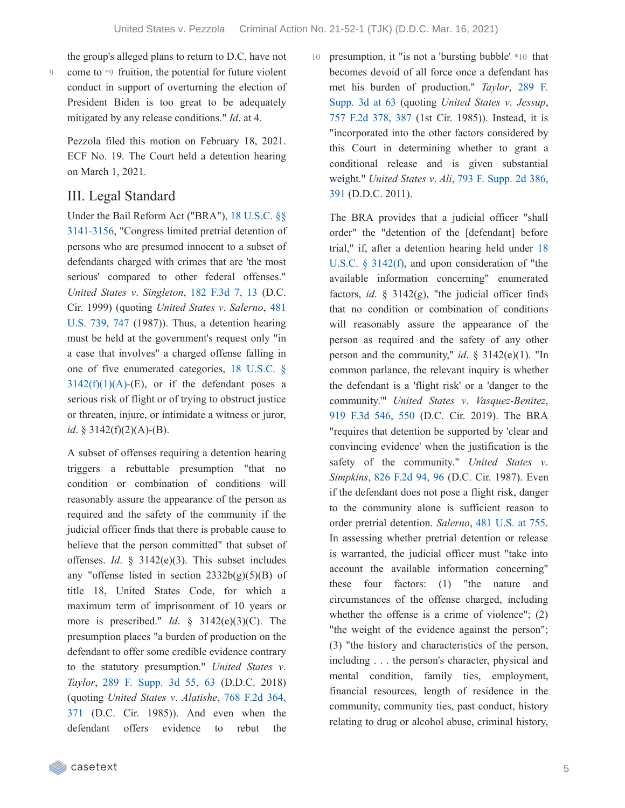the group's alleged plans to return to D.C. have not come to \*9 fruition, the potential for future violent conduct in support of overturning the election of President Biden is too great to be adequately mitigated by any release conditions." *Id*. at 4.

Pezzola filed this motion on February 18, 2021. ECF No. 19. The Court held a detention hearing on March 1, 2021.

## III. Legal Standard

Under the Bail Reform Act ("BRA"), 18 U.S.C. §§ [3141-3156,](https://casetext.com/statute/united-states-code/title-18-crimes-and-criminal-procedure/part-ii-criminal-procedure/chapter-207-release-and-detention-pending-judicial-proceedings/section-3141-release-and-detention-authority-generally) "Congress limited pretrial detention of persons who are presumed innocent to a subset of defendants charged with crimes that are 'the most serious' compared to other federal offenses." *United States v*. *Singleton*, 182 [F.3d](https://casetext.com/case/us-v-singleton-68#p13) 7, 13 (D.C. Cir. 1999) (quoting *United States v*. *Salerno*, 481 U.S. 739, 747 (1987)). Thus, a [detention](https://casetext.com/case/united-states-v-salerno-7#p747) hearing must be held at the government's request only "in a case that involves" a charged offense falling in one of five enumerated categories, 18 U.S.C. §  $3142(f)(1)(A)$ -(E), or if the defendant poses a serious risk of flight or of trying to obstruct justice or threaten, injure, or intimidate a witness or juror, *id*. § 3142(f)(2)(A)-(B).

A subset of offenses requiring a detention hearing triggers a rebuttable presumption "that no condition or combination of conditions will reasonably assure the appearance of the person as required and the safety of the community if the judicial officer finds that there is probable cause to believe that the person committed" that subset of offenses. *Id*. § 3142(e)(3). This subset includes any "offense listed in section  $2332b(g)(5)(B)$  of title 18, United States Code, for which a maximum term of imprisonment of 10 years or more is prescribed." *Id*. § 3142(e)(3)(C). The presumption places "a burden of production on the defendant to offer some credible evidence contrary to the statutory presumption." *United States v*. *Taylor*, 289 F. [Supp.](https://casetext.com/case/united-states-v-taylor-915#p63) 3d 55, 63 (D.D.C. 2018) [\(quoting](https://casetext.com/case/united-states-v-alatishe#p371) *United States v*. *Alatishe*, 768 F.2d 364, 371 (D.C. Cir. 1985)). And even when the defendant offers evidence to rebut the

10 presumption, it "is not a 'bursting bubble' \*10 that becomes devoid of all force once a defendant has met his burden of [production."](https://casetext.com/case/united-states-v-taylor-915#p63) *Taylor*, 289 F. Supp. 3d at 63 (quoting *United States v*. *Jessup*, 757 F.2d [378,](https://casetext.com/case/united-states-v-jessup#p387) 387 (1st Cir. 1985)). Instead, it is "incorporated into the other factors considered by this Court in determining whether to grant a conditional release and is given substantial [weight."](https://casetext.com/case/us-v-ali-56#p391) *United States v*. *Ali*, 793 F. Supp. 2d 386, 391 (D.D.C. 2011).

The BRA provides that a judicial officer "shall order" the "detention of the [defendant] before trial," if, after a detention hearing held under 18 U.S.C. § 3142(f), and upon [consideration](https://casetext.com/statute/united-states-code/title-18-crimes-and-criminal-procedure/part-ii-criminal-procedure/chapter-207-release-and-detention-pending-judicial-proceedings/section-3142-release-or-detention-of-a-defendant-pending-trial) of "the available information concerning" enumerated factors, *id.*  $\S$  3142(g), "the judicial officer finds that no condition or combination of conditions will reasonably assure the appearance of the person as required and the safety of any other person and the community," *id*. § 3142(e)(1). "In common parlance, the relevant inquiry is whether the defendant is a 'flight risk' or a 'danger to the community.'" *United States v*. *Vasquez-Benitez*, 919 F.3d [546,](https://casetext.com/case/united-states-v-vasquez-benitez-2#p550) 550 (D.C. Cir. 2019). The BRA "requires that detention be supported by 'clear and convincing evidence' when the justification is the safety of the community." *United States v*. *Simpkins*, 826 [F.2d](https://casetext.com/case/us-v-simpkins-3#p96) 94, 96 (D.C. Cir. 1987). Even if the defendant does not pose a flight risk, danger to the community alone is sufficient reason to order pretrial detention. *Salerno*, 481 [U.S.](https://casetext.com/case/united-states-v-salerno-7#p755) at 755. In assessing whether pretrial detention or release is warranted, the judicial officer must "take into account the available information concerning" these four factors: (1) "the nature and circumstances of the offense charged, including whether the offense is a crime of violence"; (2) "the weight of the evidence against the person"; (3) "the history and characteristics of the person, including . . . the person's character, physical and mental condition, family ties, employment, financial resources, length of residence in the community, community ties, past conduct, history relating to drug or alcohol abuse, criminal history,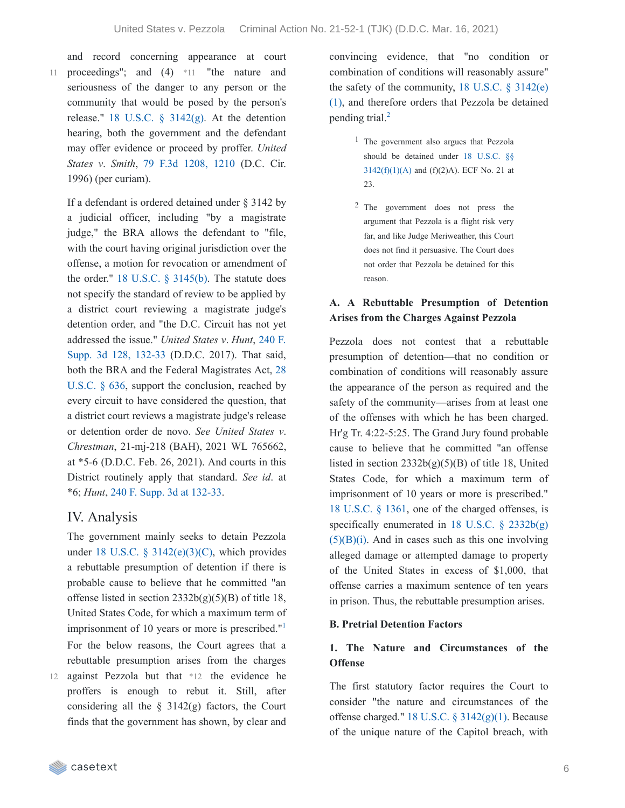and record concerning appearance at court proceedings"; and (4) \*11 "the nature and 11 seriousness of the danger to any person or the community that would be posed by the person's release." 18 U.S.C.  $\S$  [3142\(g\).](https://casetext.com/statute/united-states-code/title-18-crimes-and-criminal-procedure/part-ii-criminal-procedure/chapter-207-release-and-detention-pending-judicial-proceedings/section-3142-release-or-detention-of-a-defendant-pending-trial) At the detention hearing, both the government and the defendant may offer evidence or proceed by proffer. *United States v*. *Smith*, 79 F.3d [1208,](https://casetext.com/case/us-v-smith-507#p1210) 1210 (D.C. Cir. 1996) (per curiam).

If a defendant is ordered detained under § 3142 by a judicial officer, including "by a magistrate judge," the BRA allows the defendant to "file, with the court having original jurisdiction over the offense, a motion for revocation or amendment of the order." 18 U.S.C. § [3145\(b\)](https://casetext.com/statute/united-states-code/title-18-crimes-and-criminal-procedure/part-ii-criminal-procedure/chapter-207-release-and-detention-pending-judicial-proceedings/section-3145-review-and-appeal-of-a-release-or-detention-order). The statute does not specify the standard of review to be applied by a district court reviewing a magistrate judge's detention order, and "the D.C. Circuit has not yet [addressed](https://casetext.com/case/united-states-v-hunt-95#p132) the issue." *United States v*. *Hunt*, 240 F. Supp. 3d 128, 132-33 (D.D.C. 2017). That said, both the BRA and the Federal [Magistrates](https://casetext.com/statute/united-states-code/title-28-judiciary-and-judicial-procedure/part-iii-court-officers-and-employees/chapter-43-united-states-magistrate-judges/section-636-jurisdiction-powers-and-temporary-assignment) Act, 28 U.S.C. § 636, support the conclusion, reached by every circuit to have considered the question, that a district court reviews a magistrate judge's release or detention order de novo. *See United States v*. *Chrestman*, 21-mj-218 (BAH), 2021 WL 765662, at \*5-6 (D.D.C. Feb. 26, 2021). And courts in this District routinely apply that standard. *See id*. at \*6; *Hunt*, 240 F. Supp. 3d at [132-33](https://casetext.com/case/united-states-v-hunt-95#p132).

## IV. Analysis

The government mainly seeks to detain Pezzola under 18 U.S.C. §  $3142(e)(3)(C)$ , which provides a rebuttable presumption of detention if there is probable cause to believe that he committed "an offense listed in section  $2332b(g)(5)(B)$  of title 18, United States Code, for which a maximum term of imprisonment of [1](https://casetext.com/_print/doc/united-states-v-pezzola?_printIncludeHighlights=false&_printIncludeKeyPassages=false&_printIsTwoColumn=true&_printEmail=&_printHighlightsKey=#N196999)0 years or more is prescribed."<sup>1</sup> For the below reasons, the Court agrees that a rebuttable presumption arises from the charges

12 against Pezzola but that \*12 the evidence he proffers is enough to rebut it. Still, after considering all the  $\S$  3142(g) factors, the Court finds that the government has shown, by clear and

convincing evidence, that "no condition or combination of conditions will reasonably assure" the safety of the [community,](https://casetext.com/statute/united-states-code/title-18-crimes-and-criminal-procedure/part-ii-criminal-procedure/chapter-207-release-and-detention-pending-judicial-proceedings/section-3142-release-or-detention-of-a-defendant-pending-trial)  $18$  U.S.C.  $\S$  3142(e) (1), and therefore orders that Pezzola be detained pending trial. [2](https://casetext.com/_print/doc/united-states-v-pezzola?_printIncludeHighlights=false&_printIncludeKeyPassages=false&_printIsTwoColumn=true&_printEmail=&_printHighlightsKey=#N197008)

- 1 The government also argues that Pezzola should be detained under 18 U.S.C. §§  $3142(f)(1)(A)$  and  $(f)(2)A)$ . ECF No. 21 at 23.
- 2 The government does not press the argument that Pezzola is a flight risk very far, and like Judge Meriweather, this Court does not find it persuasive. The Court does not order that Pezzola be detained for this reason.

### **A. A Rebuttable Presumption of Detention Arises from the Charges Against Pezzola**

Pezzola does not contest that a rebuttable presumption of detention—that no condition or combination of conditions will reasonably assure the appearance of the person as required and the safety of the community—arises from at least one of the offenses with which he has been charged. Hr'g Tr. 4:22-5:25. The Grand Jury found probable cause to believe that he committed "an offense listed in section  $2332b(g)(5)(B)$  of title 18, United States Code, for which a maximum term of imprisonment of 10 years or more is prescribed." 18 [U.S.C.](https://casetext.com/statute/united-states-code/title-18-crimes-and-criminal-procedure/part-i-crimes/chapter-65-malicious-mischief/section-1361-government-property-or-contracts) § 1361, one of the charged offenses, is specifically [enumerated](https://casetext.com/statute/united-states-code/title-18-crimes-and-criminal-procedure/part-i-crimes/chapter-113b-terrorism/section-2332b-acts-of-terrorism-transcending-national-boundaries) in 18 U.S.C.  $\S$  2332b(g)  $(5)(B)(i)$ . And in cases such as this one involving alleged damage or attempted damage to property of the United States in excess of \$1,000, that offense carries a maximum sentence of ten years in prison. Thus, the rebuttable presumption arises.

### **B. Pretrial Detention Factors**

### **1. The Nature and Circumstances of the Offense**

The first statutory factor requires the Court to consider "the nature and circumstances of the offense charged." 18 U.S.C. § [3142\(g\)\(1\).](https://casetext.com/statute/united-states-code/title-18-crimes-and-criminal-procedure/part-ii-criminal-procedure/chapter-207-release-and-detention-pending-judicial-proceedings/section-3142-release-or-detention-of-a-defendant-pending-trial) Because of the unique nature of the Capitol breach, with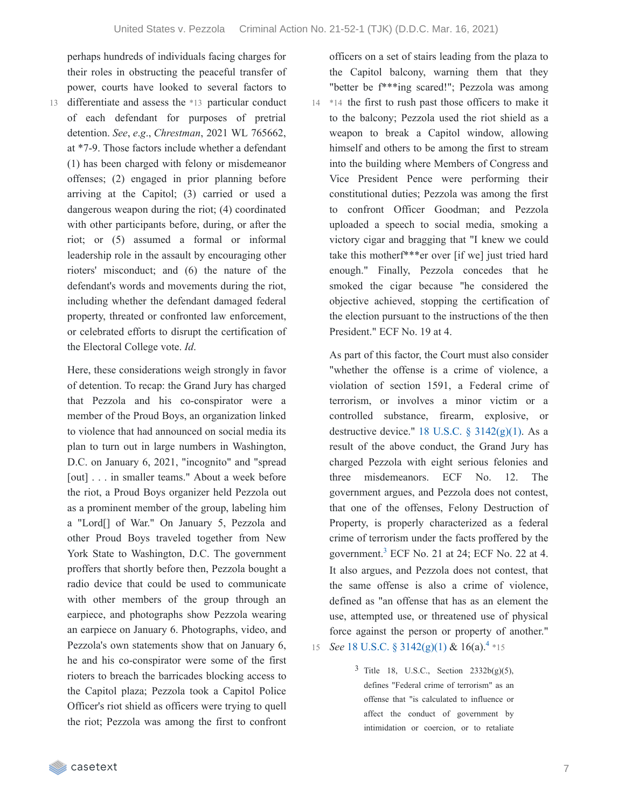perhaps hundreds of individuals facing charges for their roles in obstructing the peaceful transfer of power, courts have looked to several factors to

13 differentiate and assess the \*13 particular conduct of each defendant for purposes of pretrial detention. *See*, *e*.*g*., *Chrestman*, 2021 WL 765662, at \*7-9. Those factors include whether a defendant (1) has been charged with felony or misdemeanor offenses; (2) engaged in prior planning before arriving at the Capitol; (3) carried or used a dangerous weapon during the riot; (4) coordinated with other participants before, during, or after the riot; or (5) assumed a formal or informal leadership role in the assault by encouraging other rioters' misconduct; and (6) the nature of the defendant's words and movements during the riot, including whether the defendant damaged federal property, threated or confronted law enforcement, or celebrated efforts to disrupt the certification of the Electoral College vote. *Id*.

Here, these considerations weigh strongly in favor of detention. To recap: the Grand Jury has charged that Pezzola and his co-conspirator were a member of the Proud Boys, an organization linked to violence that had announced on social media its plan to turn out in large numbers in Washington, D.C. on January 6, 2021, "incognito" and "spread [out] . . . in smaller teams." About a week before the riot, a Proud Boys organizer held Pezzola out as a prominent member of the group, labeling him a "Lord[] of War." On January 5, Pezzola and other Proud Boys traveled together from New York State to Washington, D.C. The government proffers that shortly before then, Pezzola bought a radio device that could be used to communicate with other members of the group through an earpiece, and photographs show Pezzola wearing an earpiece on January 6. Photographs, video, and Pezzola's own statements show that on January 6, he and his co-conspirator were some of the first rioters to breach the barricades blocking access to the Capitol plaza; Pezzola took a Capitol Police Officer's riot shield as officers were trying to quell the riot; Pezzola was among the first to confront

officers on a set of stairs leading from the plaza to the Capitol balcony, warning them that they "better be f\*\*\*ing scared!"; Pezzola was among 14 \*14 the first to rush past those officers to make it to the balcony; Pezzola used the riot shield as a weapon to break a Capitol window, allowing himself and others to be among the first to stream into the building where Members of Congress and Vice President Pence were performing their constitutional duties; Pezzola was among the first to confront Officer Goodman; and Pezzola uploaded a speech to social media, smoking a victory cigar and bragging that "I knew we could take this motherf\*\*\*er over [if we] just tried hard enough." Finally, Pezzola concedes that he smoked the cigar because "he considered the objective achieved, stopping the certification of the election pursuant to the instructions of the then President." ECF No. 19 at 4.

As part of this factor, the Court must also consider "whether the offense is a crime of violence, a violation of section 1591, a Federal crime of terrorism, or involves a minor victim or a controlled substance, firearm, explosive, or destructive device." 18 U.S.C.  $\S$  [3142\(g\)\(1\).](https://casetext.com/statute/united-states-code/title-18-crimes-and-criminal-procedure/part-ii-criminal-procedure/chapter-207-release-and-detention-pending-judicial-proceedings/section-3142-release-or-detention-of-a-defendant-pending-trial) As a result of the above conduct, the Grand Jury has charged Pezzola with eight serious felonies and three misdemeanors. ECF No. 12. The government argues, and Pezzola does not contest, that one of the offenses, Felony Destruction of Property, is properly characterized as a federal crime of terrorism under the facts proffered by the government.<sup>[3](https://casetext.com/_print/doc/united-states-v-pezzola?_printIncludeHighlights=false&_printIncludeKeyPassages=false&_printIsTwoColumn=true&_printEmail=&_printHighlightsKey=#N197056)</sup> ECF No. 21 at 24; ECF No. 22 at 4. It also argues, and Pezzola does not contest, that the same offense is also a crime of violence, defined as "an offense that has as an element the use, attempted use, or threatened use of physical force against the person or property of another."

15 *See* 18 U.S.C. § [3142\(g\)\(1\)](https://casetext.com/statute/united-states-code/title-18-crimes-and-criminal-procedure/part-ii-criminal-procedure/chapter-207-release-and-detention-pending-judicial-proceedings/section-3142-release-or-detention-of-a-defendant-pending-trial) & 16(a).<sup>[4](https://casetext.com/_print/doc/united-states-v-pezzola?_printIncludeHighlights=false&_printIncludeKeyPassages=false&_printIsTwoColumn=true&_printEmail=&_printHighlightsKey=#N197064)</sup> \*15

 $3$  Title 18, U.S.C., Section 2332b(g)(5), defines "Federal crime of terrorism" as an offense that "is calculated to influence or affect the conduct of government by intimidation or coercion, or to retaliate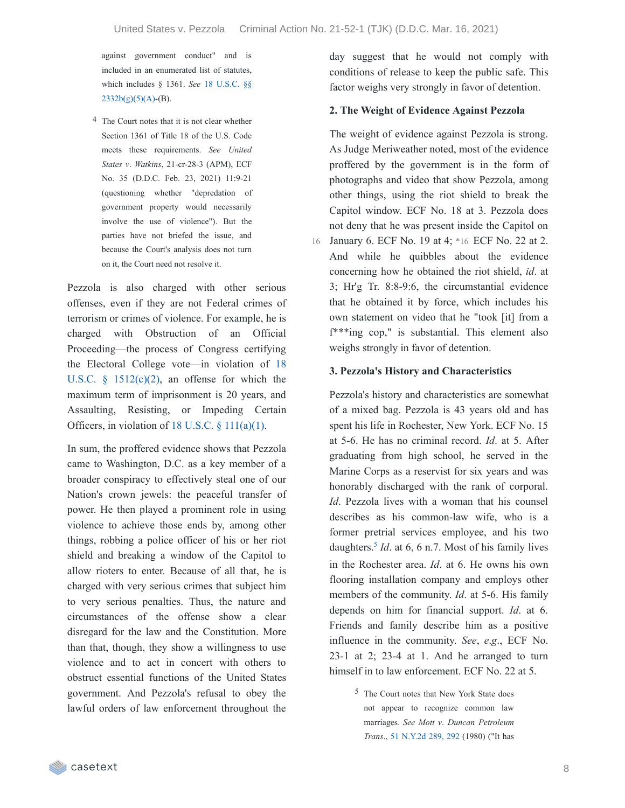against government conduct" and is included in an enumerated list of statutes, which includes § 1361. *See* 18 U.S.C. §§  $2332b(g)(5)(A)-(B)$ .

4 The Court notes that it is not clear whether Section 1361 of Title 18 of the U.S. Code meets these requirements. *See United States v*. *Watkins*, 21-cr-28-3 (APM), ECF No. 35 (D.D.C. Feb. 23, 2021) 11:9-21 (questioning whether "depredation of government property would necessarily involve the use of violence"). But the parties have not briefed the issue, and because the Court's analysis does not turn on it, the Court need not resolve it.

Pezzola is also charged with other serious offenses, even if they are not Federal crimes of terrorism or crimes of violence. For example, he is charged with Obstruction of an Official Proceeding—the process of Congress certifying the Electoral College vote—in violation of 18 U.S.C.  $\S$  [1512\(c\)\(2\),](https://casetext.com/statute/united-states-code/title-18-crimes-and-criminal-procedure/part-i-crimes/chapter-73-obstruction-of-justice/section-1512-tampering-with-a-witness-victim-or-an-informant) an offense for which the maximum term of imprisonment is 20 years, and Assaulting, Resisting, or Impeding Certain Officers, in violation of 18 U.S.C.  $\S$  [111\(a\)\(1\).](https://casetext.com/statute/united-states-code/title-18-crimes-and-criminal-procedure/part-i-crimes/chapter-7-assault/section-111-assaulting-resisting-or-impeding-certain-officers-or-employees)

In sum, the proffered evidence shows that Pezzola came to Washington, D.C. as a key member of a broader conspiracy to effectively steal one of our Nation's crown jewels: the peaceful transfer of power. He then played a prominent role in using violence to achieve those ends by, among other things, robbing a police officer of his or her riot shield and breaking a window of the Capitol to allow rioters to enter. Because of all that, he is charged with very serious crimes that subject him to very serious penalties. Thus, the nature and circumstances of the offense show a clear disregard for the law and the Constitution. More than that, though, they show a willingness to use violence and to act in concert with others to obstruct essential functions of the United States government. And Pezzola's refusal to obey the lawful orders of law enforcement throughout the

day suggest that he would not comply with conditions of release to keep the public safe. This factor weighs very strongly in favor of detention.

#### **2. The Weight of Evidence Against Pezzola**

The weight of evidence against Pezzola is strong. As Judge Meriweather noted, most of the evidence proffered by the government is in the form of photographs and video that show Pezzola, among other things, using the riot shield to break the Capitol window. ECF No. 18 at 3. Pezzola does not deny that he was present inside the Capitol on 16 January 6. ECF No. 19 at 4; \*16 ECF No. 22 at 2. And while he quibbles about the evidence concerning how he obtained the riot shield, *id*. at 3; Hr'g Tr. 8:8-9:6, the circumstantial evidence that he obtained it by force, which includes his own statement on video that he "took [it] from a f\*\*\*ing cop," is substantial. This element also weighs strongly in favor of detention.

#### **3. Pezzola's History and Characteristics**

Pezzola's history and characteristics are somewhat of a mixed bag. Pezzola is 43 years old and has spent his life in Rochester, New York. ECF No. 15 at 5-6. He has no criminal record. *Id*. at 5. After graduating from high school, he served in the Marine Corps as a reservist for six years and was honorably discharged with the rank of corporal. *Id*. Pezzola lives with a woman that his counsel describes as his common-law wife, who is a former pretrial services employee, and his two daughters.<sup>[5](https://casetext.com/_print/doc/united-states-v-pezzola?_printIncludeHighlights=false&_printIncludeKeyPassages=false&_printIsTwoColumn=true&_printEmail=&_printHighlightsKey=#N197102)</sup> *Id*. at 6, 6 n.7. Most of his family lives in the Rochester area. *Id*. at 6. He owns his own flooring installation company and employs other members of the community. *Id*. at 5-6. His family depends on him for financial support. *Id*. at 6. Friends and family describe him as a positive influence in the community. *See*, *e*.*g*., ECF No. 23-1 at 2; 23-4 at 1. And he arranged to turn himself in to law enforcement. ECF No. 22 at 5.

> 5 The Court notes that New York State does not appear to recognize common law marriages. *See Mott v*. *Duncan Petroleum Trans*., 51 [N.Y.2d](https://casetext.com/case/mott-v-duncan-petroleum#p292) 289, 292 (1980) ("It has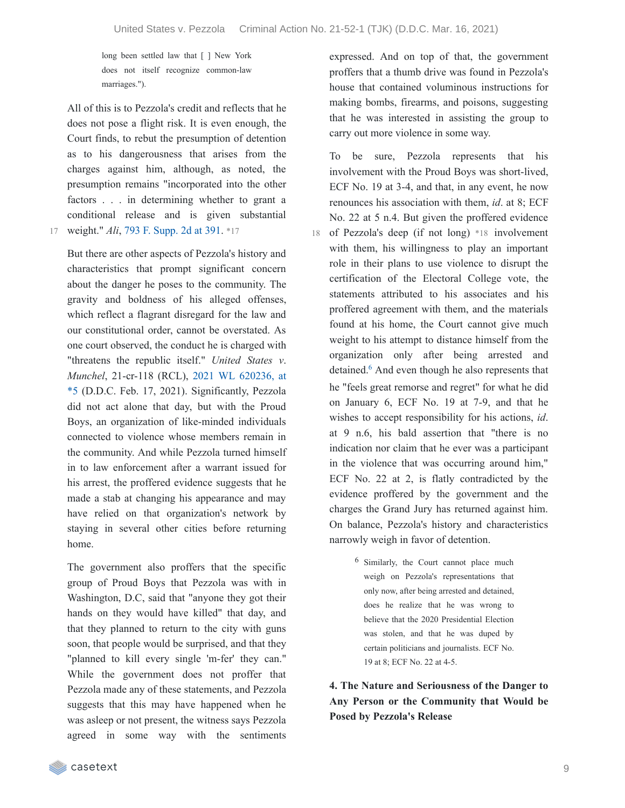long been settled law that [ ] New York does not itself recognize common-law marriages.").

All of this is to Pezzola's credit and reflects that he does not pose a flight risk. It is even enough, the Court finds, to rebut the presumption of detention as to his dangerousness that arises from the charges against him, although, as noted, the presumption remains "incorporated into the other factors . . . in determining whether to grant a conditional release and is given substantial 17 weight." *Ali*, 793 F. [Supp.](https://casetext.com/case/us-v-ali-56#p391) 2d at 391. \*17

But there are other aspects of Pezzola's history and characteristics that prompt significant concern about the danger he poses to the community. The gravity and boldness of his alleged offenses, which reflect a flagrant disregard for the law and our constitutional order, cannot be overstated. As one court observed, the conduct he is charged with "threatens the republic itself." *United States v*. *Munchel*, 21-cr-118 (RCL), 2021 WL 620236, at \*5 (D.D.C. Feb. 17, 2021). [Significantly,](https://casetext.com/case/united-states-v-munchel#p5) Pezzola did not act alone that day, but with the Proud Boys, an organization of like-minded individuals connected to violence whose members remain in the community. And while Pezzola turned himself in to law enforcement after a warrant issued for his arrest, the proffered evidence suggests that he made a stab at changing his appearance and may have relied on that organization's network by staying in several other cities before returning home.

The government also proffers that the specific group of Proud Boys that Pezzola was with in Washington, D.C, said that "anyone they got their hands on they would have killed" that day, and that they planned to return to the city with guns soon, that people would be surprised, and that they "planned to kill every single 'm-fer' they can." While the government does not proffer that Pezzola made any of these statements, and Pezzola suggests that this may have happened when he was asleep or not present, the witness says Pezzola agreed in some way with the sentiments expressed. And on top of that, the government proffers that a thumb drive was found in Pezzola's house that contained voluminous instructions for making bombs, firearms, and poisons, suggesting that he was interested in assisting the group to carry out more violence in some way.

To be sure, Pezzola represents that his involvement with the Proud Boys was short-lived, ECF No. 19 at 3-4, and that, in any event, he now renounces his association with them, *id*. at 8; ECF No. 22 at 5 n.4. But given the proffered evidence 18 of Pezzola's deep (if not long) \*18 involvement with them, his willingness to play an important role in their plans to use violence to disrupt the certification of the Electoral College vote, the statements attributed to his associates and his proffered agreement with them, and the materials found at his home, the Court cannot give much weight to his attempt to distance himself from the organization only after being arrested and detained.<sup>[6](https://casetext.com/_print/doc/united-states-v-pezzola?_printIncludeHighlights=false&_printIncludeKeyPassages=false&_printIsTwoColumn=true&_printEmail=&_printHighlightsKey=#N197156)</sup> And even though he also represents that he "feels great remorse and regret" for what he did on January 6, ECF No. 19 at 7-9, and that he wishes to accept responsibility for his actions, *id*. at 9 n.6, his bald assertion that "there is no indication nor claim that he ever was a participant in the violence that was occurring around him," ECF No. 22 at 2, is flatly contradicted by the evidence proffered by the government and the charges the Grand Jury has returned against him. On balance, Pezzola's history and characteristics narrowly weigh in favor of detention.

> 6 Similarly, the Court cannot place much weigh on Pezzola's representations that only now, after being arrested and detained, does he realize that he was wrong to believe that the 2020 Presidential Election was stolen, and that he was duped by certain politicians and journalists. ECF No. 19 at 8; ECF No. 22 at 4-5.

**4. The Nature and Seriousness of the Danger to Any Person or the Community that Would be Posed by Pezzola's Release**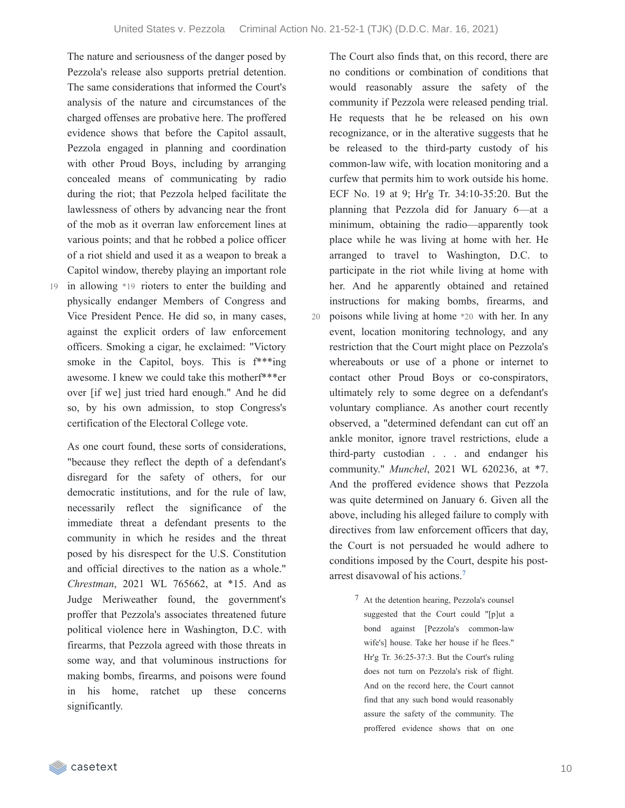The nature and seriousness of the danger posed by Pezzola's release also supports pretrial detention. The same considerations that informed the Court's analysis of the nature and circumstances of the charged offenses are probative here. The proffered evidence shows that before the Capitol assault, Pezzola engaged in planning and coordination with other Proud Boys, including by arranging concealed means of communicating by radio during the riot; that Pezzola helped facilitate the lawlessness of others by advancing near the front of the mob as it overran law enforcement lines at various points; and that he robbed a police officer of a riot shield and used it as a weapon to break a Capitol window, thereby playing an important role in allowing \*19 rioters to enter the building and 19 physically endanger Members of Congress and Vice President Pence. He did so, in many cases, against the explicit orders of law enforcement officers. Smoking a cigar, he exclaimed: "Victory smoke in the Capitol, boys. This is  $f^{***}$ ing awesome. I knew we could take this motherf\*\*\*er

over [if we] just tried hard enough." And he did so, by his own admission, to stop Congress's

certification of the Electoral College vote.

As one court found, these sorts of considerations, "because they reflect the depth of a defendant's disregard for the safety of others, for our democratic institutions, and for the rule of law, necessarily reflect the significance of the immediate threat a defendant presents to the community in which he resides and the threat posed by his disrespect for the U.S. Constitution and official directives to the nation as a whole." *Chrestman*, 2021 WL 765662, at \*15. And as Judge Meriweather found, the government's proffer that Pezzola's associates threatened future political violence here in Washington, D.C. with firearms, that Pezzola agreed with those threats in some way, and that voluminous instructions for making bombs, firearms, and poisons were found in his home, ratchet up these concerns significantly.

The Court also finds that, on this record, there are no conditions or combination of conditions that would reasonably assure the safety of the community if Pezzola were released pending trial. He requests that he be released on his own recognizance, or in the alterative suggests that he be released to the third-party custody of his common-law wife, with location monitoring and a curfew that permits him to work outside his home. ECF No. 19 at 9; Hr'g Tr. 34:10-35:20. But the planning that Pezzola did for January 6—at a minimum, obtaining the radio—apparently took place while he was living at home with her. He arranged to travel to Washington, D.C. to participate in the riot while living at home with her. And he apparently obtained and retained instructions for making bombs, firearms, and poisons while living at home \*20 with her. In any event, location monitoring technology, and any restriction that the Court might place on Pezzola's whereabouts or use of a phone or internet to contact other Proud Boys or co-conspirators, ultimately rely to some degree on a defendant's voluntary compliance. As another court recently observed, a "determined defendant can cut off an ankle monitor, ignore travel restrictions, elude a third-party custodian . . . and endanger his community." *Munchel*, 2021 WL 620236, at \*7. And the proffered evidence shows that Pezzola was quite determined on January 6. Given all the above, including his alleged failure to comply with directives from law enforcement officers that day, the Court is not persuaded he would adhere to conditions imposed by the Court, despite his postarrest disavowal of his actions. [7](https://casetext.com/_print/doc/united-states-v-pezzola?_printIncludeHighlights=false&_printIncludeKeyPassages=false&_printIsTwoColumn=true&_printEmail=&_printHighlightsKey=#N197188)

> 7 At the detention hearing, Pezzola's counsel suggested that the Court could "[p]ut a bond against [Pezzola's common-law wife's] house. Take her house if he flees." Hr'g Tr. 36:25-37:3. But the Court's ruling does not turn on Pezzola's risk of flight. And on the record here, the Court cannot find that any such bond would reasonably assure the safety of the community. The proffered evidence shows that on one

**Example 20** casetext